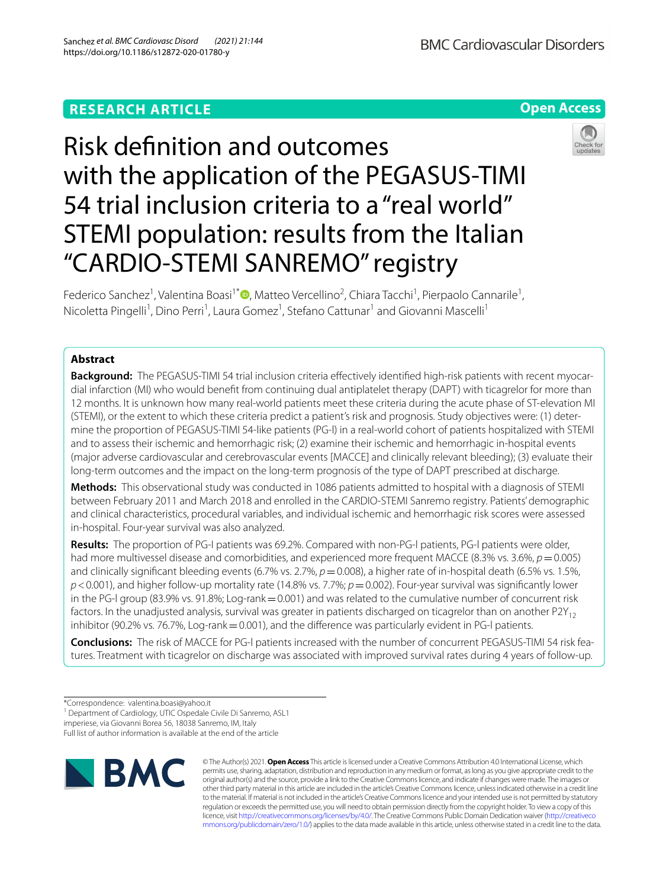# **RESEARCH ARTICLE**

**Open Access**

# Risk defnition and outcomes with the application of the PEGASUS-TIMI 54 trial inclusion criteria to a "real world" STEMI population: results from the Italian "CARDIO-STEMI SANREMO" registry



Federico Sanchez<sup>1</sup>[,](http://orcid.org/0000-0003-0156-4273) Valentina Boasi<sup>1\*</sup><sup>®</sup>, Matteo Vercellino<sup>2</sup>, Chiara Tacchi<sup>1</sup>, Pierpaolo Cannarile<sup>1</sup>, Nicoletta Pingelli<sup>1</sup>, Dino Perri<sup>1</sup>, Laura Gomez<sup>1</sup>, Stefano Cattunar<sup>1</sup> and Giovanni Mascelli<sup>1</sup>

# **Abstract**

**Background:** The PEGASUS-TIMI 54 trial inclusion criteria efectively identifed high-risk patients with recent myocardial infarction (MI) who would beneft from continuing dual antiplatelet therapy (DAPT) with ticagrelor for more than 12 months. It is unknown how many real-world patients meet these criteria during the acute phase of ST-elevation MI (STEMI), or the extent to which these criteria predict a patient's risk and prognosis. Study objectives were: (1) determine the proportion of PEGASUS-TIMI 54-like patients (PG-l) in a real-world cohort of patients hospitalized with STEMI and to assess their ischemic and hemorrhagic risk; (2) examine their ischemic and hemorrhagic in-hospital events (major adverse cardiovascular and cerebrovascular events [MACCE] and clinically relevant bleeding); (3) evaluate their long-term outcomes and the impact on the long-term prognosis of the type of DAPT prescribed at discharge.

**Methods:** This observational study was conducted in 1086 patients admitted to hospital with a diagnosis of STEMI between February 2011 and March 2018 and enrolled in the CARDIO-STEMI Sanremo registry. Patients' demographic and clinical characteristics, procedural variables, and individual ischemic and hemorrhagic risk scores were assessed in-hospital. Four-year survival was also analyzed.

**Results:** The proportion of PG-I patients was 69.2%. Compared with non-PG-l patients, PG-l patients were older, had more multivessel disease and comorbidities, and experienced more frequent MACCE (8.3% vs. 3.6%, *p* = 0.005) and clinically significant bleeding events (6.7% vs. 2.7%,  $p=0.008$ ), a higher rate of in-hospital death (6.5% vs. 1.5%, *p*<0.001), and higher follow-up mortality rate (14.8% vs. 7.7%; *p*=0.002). Four-year survival was signifcantly lower in the PG-I group (83.9% vs. 91.8%; Log-rank = 0.001) and was related to the cumulative number of concurrent risk factors. In the unadjusted analysis, survival was greater in patients discharged on ticagrelor than on another  $P2Y_{12}$ inhibitor (90.2% vs. 76.7%, Log-rank  $=$  0.001), and the difference was particularly evident in PG-l patients.

**Conclusions:** The risk of MACCE for PG-l patients increased with the number of concurrent PEGASUS-TIMI 54 risk features. Treatment with ticagrelor on discharge was associated with improved survival rates during 4 years of follow-up.

\*Correspondence: valentina.boasi@yahoo.it

<sup>1</sup> Department of Cardiology, UTIC Ospedale Civile Di Sanremo, ASL1

Full list of author information is available at the end of the article



© The Author(s) 2021. **Open Access** This article is licensed under a Creative Commons Attribution 4.0 International License, which permits use, sharing, adaptation, distribution and reproduction in any medium or format, as long as you give appropriate credit to the original author(s) and the source, provide a link to the Creative Commons licence, and indicate if changes were made. The images or other third party material in this article are included in the article's Creative Commons licence, unless indicated otherwise in a credit line to the material. If material is not included in the article's Creative Commons licence and your intended use is not permitted by statutory regulation or exceeds the permitted use, you will need to obtain permission directly from the copyright holder. To view a copy of this licence, visit [http://creativecommons.org/licenses/by/4.0/.](http://creativecommons.org/licenses/by/4.0/) The Creative Commons Public Domain Dedication waiver ([http://creativeco](http://creativecommons.org/publicdomain/zero/1.0/) [mmons.org/publicdomain/zero/1.0/](http://creativecommons.org/publicdomain/zero/1.0/)) applies to the data made available in this article, unless otherwise stated in a credit line to the data.

imperiese, via Giovanni Borea 56, 18038 Sanremo, IM, Italy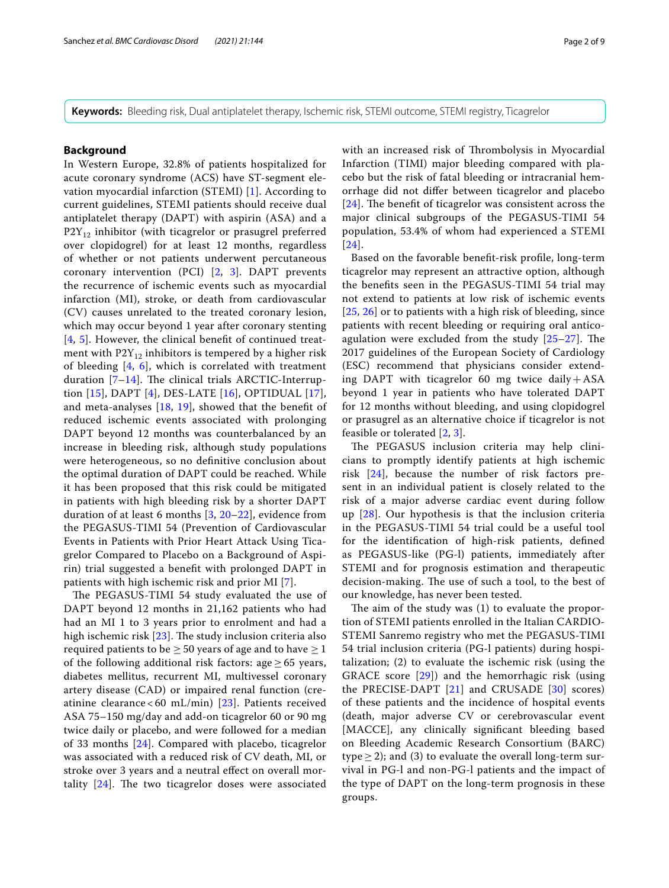**Keywords:** Bleeding risk, Dual antiplatelet therapy, Ischemic risk, STEMI outcome, STEMI registry, Ticagrelor

# **Background**

In Western Europe, 32.8% of patients hospitalized for acute coronary syndrome (ACS) have ST-segment elevation myocardial infarction (STEMI) [\[1](#page-7-0)]. According to current guidelines, STEMI patients should receive dual antiplatelet therapy (DAPT) with aspirin (ASA) and a  $P2Y_{12}$  inhibitor (with ticagrelor or prasugrel preferred over clopidogrel) for at least 12 months, regardless of whether or not patients underwent percutaneous coronary intervention (PCI) [\[2](#page-7-1), [3\]](#page-7-2). DAPT prevents the recurrence of ischemic events such as myocardial infarction (MI), stroke, or death from cardiovascular (CV) causes unrelated to the treated coronary lesion, which may occur beyond 1 year after coronary stenting [[4](#page-7-3), [5\]](#page-7-4). However, the clinical beneft of continued treatment with  $P2Y_{12}$  inhibitors is tempered by a higher risk of bleeding [[4,](#page-7-3) [6](#page-7-5)], which is correlated with treatment duration  $[7-14]$  $[7-14]$ . The clinical trials ARCTIC-Interruption [[15](#page-7-8)], DAPT [[4\]](#page-7-3), DES-LATE [[16](#page-7-9)], OPTIDUAL [[17\]](#page-7-10), and meta-analyses [[18](#page-7-11), [19](#page-7-12)], showed that the beneft of reduced ischemic events associated with prolonging DAPT beyond 12 months was counterbalanced by an increase in bleeding risk, although study populations were heterogeneous, so no defnitive conclusion about the optimal duration of DAPT could be reached. While it has been proposed that this risk could be mitigated in patients with high bleeding risk by a shorter DAPT duration of at least 6 months [\[3](#page-7-2), [20–](#page-7-13)[22\]](#page-7-14), evidence from the PEGASUS-TIMI 54 (Prevention of Cardiovascular Events in Patients with Prior Heart Attack Using Ticagrelor Compared to Placebo on a Background of Aspirin) trial suggested a beneft with prolonged DAPT in patients with high ischemic risk and prior MI [\[7](#page-7-6)].

The PEGASUS-TIMI 54 study evaluated the use of DAPT beyond 12 months in 21,162 patients who had had an MI 1 to 3 years prior to enrolment and had a high ischemic risk  $[23]$  $[23]$ . The study inclusion criteria also required patients to be  $\geq$  50 years of age and to have  $\geq$  1 of the following additional risk factors: age  $\geq 65$  years, diabetes mellitus, recurrent MI, multivessel coronary artery disease (CAD) or impaired renal function (cre-atinine clearance < 60 mL/min) [\[23\]](#page-7-15). Patients received ASA 75–150 mg/day and add-on ticagrelor 60 or 90 mg twice daily or placebo, and were followed for a median of 33 months [[24\]](#page-7-16). Compared with placebo, ticagrelor was associated with a reduced risk of CV death, MI, or stroke over 3 years and a neutral efect on overall mortality  $[24]$ . The two ticagrelor doses were associated with an increased risk of Thrombolysis in Myocardial Infarction (TIMI) major bleeding compared with placebo but the risk of fatal bleeding or intracranial hemorrhage did not difer between ticagrelor and placebo  $[24]$  $[24]$  $[24]$ . The benefit of ticagrelor was consistent across the major clinical subgroups of the PEGASUS-TIMI 54 population, 53.4% of whom had experienced a STEMI [[24](#page-7-16)].

Based on the favorable beneft-risk profle, long-term ticagrelor may represent an attractive option, although the benefts seen in the PEGASUS-TIMI 54 trial may not extend to patients at low risk of ischemic events [[25](#page-7-17), [26](#page-7-18)] or to patients with a high risk of bleeding, since patients with recent bleeding or requiring oral anticoagulation were excluded from the study  $[25-27]$  $[25-27]$  $[25-27]$ . The 2017 guidelines of the European Society of Cardiology (ESC) recommend that physicians consider extending DAPT with ticagrelor 60 mg twice daily+ASA beyond 1 year in patients who have tolerated DAPT for 12 months without bleeding, and using clopidogrel or prasugrel as an alternative choice if ticagrelor is not feasible or tolerated [[2](#page-7-1), [3\]](#page-7-2).

The PEGASUS inclusion criteria may help clinicians to promptly identify patients at high ischemic risk [[24\]](#page-7-16), because the number of risk factors present in an individual patient is closely related to the risk of a major adverse cardiac event during follow up [\[28](#page-7-20)]. Our hypothesis is that the inclusion criteria in the PEGASUS-TIMI 54 trial could be a useful tool for the identifcation of high-risk patients, defned as PEGASUS-like (PG-l) patients, immediately after STEMI and for prognosis estimation and therapeutic decision-making. The use of such a tool, to the best of our knowledge, has never been tested.

The aim of the study was  $(1)$  to evaluate the proportion of STEMI patients enrolled in the Italian CARDIO-STEMI Sanremo registry who met the PEGASUS-TIMI 54 trial inclusion criteria (PG-l patients) during hospitalization; (2) to evaluate the ischemic risk (using the GRACE score [\[29\]](#page-7-21)) and the hemorrhagic risk (using the PRECISE-DAPT [[21](#page-7-22)] and CRUSADE [\[30](#page-7-23)] scores) of these patients and the incidence of hospital events (death, major adverse CV or cerebrovascular event [MACCE], any clinically signifcant bleeding based on Bleeding Academic Research Consortium (BARC) type  $\geq$  2); and (3) to evaluate the overall long-term survival in PG-l and non-PG-l patients and the impact of the type of DAPT on the long-term prognosis in these groups.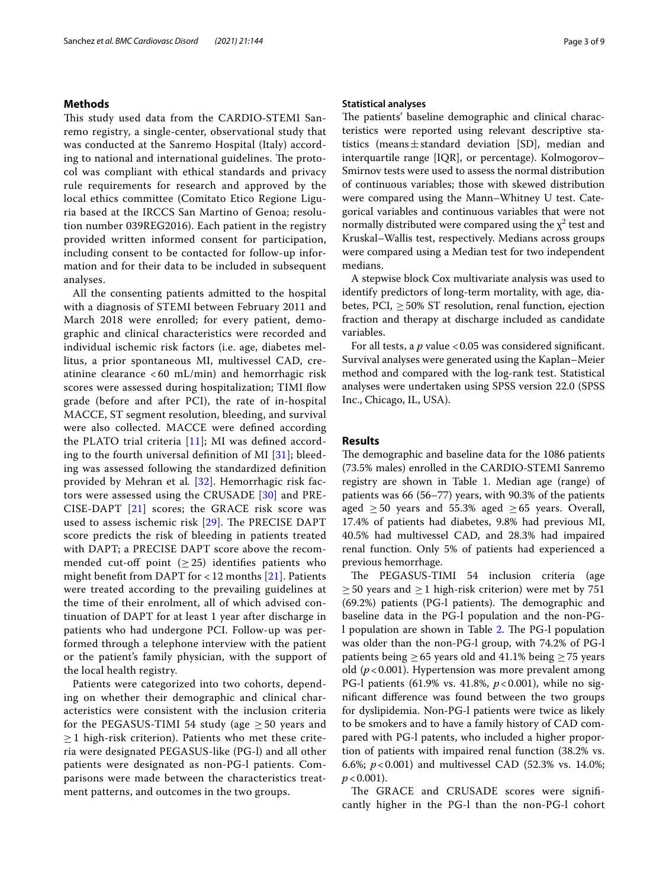# **Methods**

This study used data from the CARDIO-STEMI Sanremo registry, a single-center, observational study that was conducted at the Sanremo Hospital (Italy) according to national and international guidelines. The protocol was compliant with ethical standards and privacy rule requirements for research and approved by the local ethics committee (Comitato Etico Regione Liguria based at the IRCCS San Martino of Genoa; resolution number 039REG2016). Each patient in the registry provided written informed consent for participation, including consent to be contacted for follow-up information and for their data to be included in subsequent analyses.

All the consenting patients admitted to the hospital with a diagnosis of STEMI between February 2011 and March 2018 were enrolled; for every patient, demographic and clinical characteristics were recorded and individual ischemic risk factors (i.e. age, diabetes mellitus, a prior spontaneous MI, multivessel CAD, creatinine clearance < 60 mL/min) and hemorrhagic risk scores were assessed during hospitalization; TIMI flow grade (before and after PCI), the rate of in-hospital MACCE, ST segment resolution, bleeding, and survival were also collected. MACCE were defned according the PLATO trial criteria [[11\]](#page-7-24); MI was defned according to the fourth universal definition of MI  $[31]$ ; bleeding was assessed following the standardized defnition provided by Mehran et al*.* [\[32\]](#page-7-26). Hemorrhagic risk factors were assessed using the CRUSADE [[30\]](#page-7-23) and PRE-CISE-DAPT [[21](#page-7-22)] scores; the GRACE risk score was used to assess ischemic risk  $[29]$  $[29]$ . The PRECISE DAPT score predicts the risk of bleeding in patients treated with DAPT; a PRECISE DAPT score above the recommended cut-off point  $(\geq 25)$  identifies patients who might benefit from DAPT for  $<$  12 months [[21\]](#page-7-22). Patients were treated according to the prevailing guidelines at the time of their enrolment, all of which advised continuation of DAPT for at least 1 year after discharge in patients who had undergone PCI. Follow-up was performed through a telephone interview with the patient or the patient's family physician, with the support of the local health registry.

Patients were categorized into two cohorts, depending on whether their demographic and clinical characteristics were consistent with the inclusion criteria for the PEGASUS-TIMI 54 study (age  $\geq$  50 years and  $\geq$  1 high-risk criterion). Patients who met these criteria were designated PEGASUS-like (PG-l) and all other patients were designated as non-PG-l patients. Comparisons were made between the characteristics treatment patterns, and outcomes in the two groups.

### **Statistical analyses**

The patients' baseline demographic and clinical characteristics were reported using relevant descriptive statistics (means $\pm$ standard deviation [SD], median and interquartile range [IQR], or percentage). Kolmogorov– Smirnov tests were used to assess the normal distribution of continuous variables; those with skewed distribution were compared using the Mann–Whitney U test. Categorical variables and continuous variables that were not normally distributed were compared using the  $\chi^2$  test and Kruskal–Wallis test, respectively. Medians across groups were compared using a Median test for two independent medians.

A stepwise block Cox multivariate analysis was used to identify predictors of long-term mortality, with age, diabetes, PCI,  $\geq$  50% ST resolution, renal function, ejection fraction and therapy at discharge included as candidate variables.

For all tests, a *p* value <0.05 was considered significant. Survival analyses were generated using the Kaplan–Meier method and compared with the log-rank test. Statistical analyses were undertaken using SPSS version 22.0 (SPSS Inc., Chicago, IL, USA).

# **Results**

The demographic and baseline data for the 1086 patients (73.5% males) enrolled in the CARDIO-STEMI Sanremo registry are shown in Table [1.](#page-3-0) Median age (range) of patients was 66 (56–77) years, with 90.3% of the patients aged  $\geq$  50 years and 55.3% aged  $\geq$  65 years. Overall, 17.4% of patients had diabetes, 9.8% had previous MI, 40.5% had multivessel CAD, and 28.3% had impaired renal function. Only 5% of patients had experienced a previous hemorrhage.

The PEGASUS-TIMI 54 inclusion criteria (age  $\geq$  50 years and  $\geq$  1 high-risk criterion) were met by 751  $(69.2%)$  patients (PG-l patients). The demographic and baseline data in the PG-l population and the non-PG-l population are shown in Table [2.](#page-3-1) The PG-l population was older than the non-PG-l group, with 74.2% of PG-l patients being  $\geq 65$  years old and 41.1% being  $\geq 75$  years old  $(p<0.001)$ . Hypertension was more prevalent among PG-l patients (61.9% vs. 41.8%,  $p < 0.001$ ), while no signifcant diference was found between the two groups for dyslipidemia. Non-PG-l patients were twice as likely to be smokers and to have a family history of CAD compared with PG-l patents, who included a higher proportion of patients with impaired renal function (38.2% vs. 6.6%; *p*<0.001) and multivessel CAD (52.3% vs. 14.0%;  $p < 0.001$ ).

The GRACE and CRUSADE scores were significantly higher in the PG-l than the non-PG-l cohort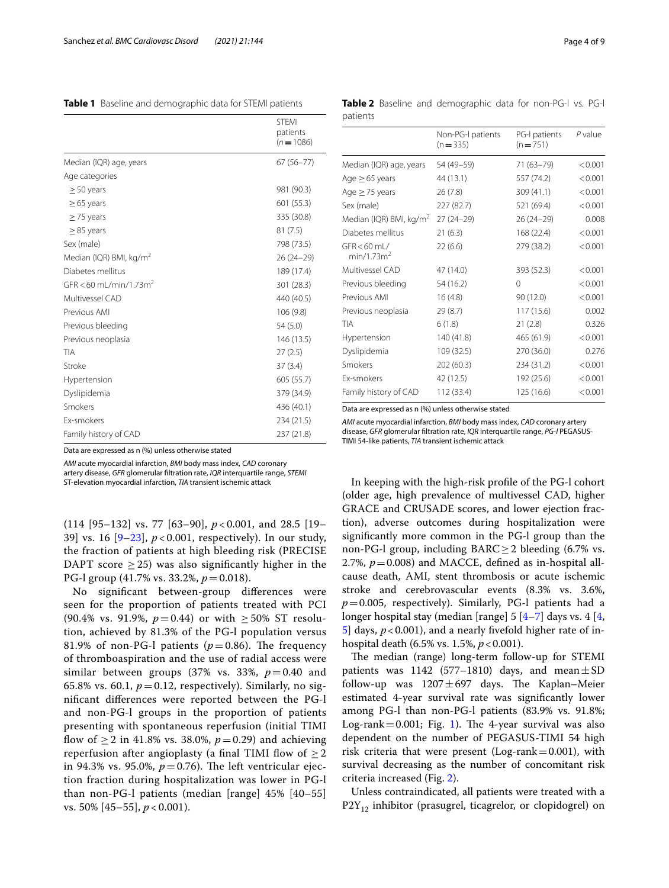# <span id="page-3-0"></span>**Table 1** Baseline and demographic data for STEMI patients

|                                     | <b>STEMI</b><br>patients<br>$(n = 1086)$ |
|-------------------------------------|------------------------------------------|
| Median (IQR) age, years             | $67(56 - 77)$                            |
| Age categories                      |                                          |
| $\geq$ 50 years                     | 981 (90.3)                               |
| $\geq$ 65 years                     | 601 (55.3)                               |
| $\geq$ 75 years                     | 335 (30.8)                               |
| $\geq$ 85 years                     | 81(7.5)                                  |
| Sex (male)                          | 798 (73.5)                               |
| Median (IQR) BMI, kg/m <sup>2</sup> | $26(24-29)$                              |
| Diabetes mellitus                   | 189 (17.4)                               |
| GFR < 60 mL/min/1.73m <sup>2</sup>  | 301 (28.3)                               |
| Multivessel CAD                     | 440 (40.5)                               |
| Previous AMI                        | 106 (9.8)                                |
| Previous bleeding                   | 54(5.0)                                  |
| Previous neoplasia                  | 146 (13.5)                               |
| TIA                                 | 27(2.5)                                  |
| Stroke                              | 37(3.4)                                  |
| Hypertension                        | 605 (55.7)                               |
| Dyslipidemia                        | 379 (34.9)                               |
| Smokers                             | 436 (40.1)                               |
| <b>Fx-smokers</b>                   | 234 (21.5)                               |
| Family history of CAD               | 237 (21.8)                               |

Data are expressed as n (%) unless otherwise stated

*AMI* acute myocardial infarction, *BMI* body mass index, *CAD* coronary artery disease, *GFR* glomerular fltration rate, *IQR* interquartile range, *STEMI* ST-elevation myocardial infarction, *TIA* transient ischemic attack

(114 [95–132] vs. 77 [63–90], *p* < 0.001, and 28.5 [19– 39] vs. 16 [[9–](#page-7-27)[23\]](#page-7-15), *p* < 0.001, respectively). In our study, the fraction of patients at high bleeding risk (PRECISE DAPT score  $> 25$ ) was also significantly higher in the PG-l group (41.7% vs. 33.2%, *p*=0.018).

No signifcant between-group diferences were seen for the proportion of patients treated with PCI (90.4% vs. 91.9%,  $p=0.44$ ) or with  $\geq 50\%$  ST resolution, achieved by 81.3% of the PG-l population versus 81.9% of non-PG-l patients ( $p=0.86$ ). The frequency of thromboaspiration and the use of radial access were similar between groups (37% vs. 33%, *p*=0.40 and 65.8% vs. 60.1,  $p = 0.12$ , respectively). Similarly, no signifcant diferences were reported between the PG-l and non-PG-l groups in the proportion of patients presenting with spontaneous reperfusion (initial TIMI flow of ≥ 2 in 41.8% vs. 38.0%,  $p = 0.29$ ) and achieving reperfusion after angioplasty (a final TIMI flow of  $\geq$  2 in 94.3% vs. 95.0%,  $p = 0.76$ ). The left ventricular ejection fraction during hospitalization was lower in PG-l than non-PG-l patients (median [range] 45% [40–55] vs. 50% [45–55], *p* < 0.001).

<span id="page-3-1"></span>**Table 2** Baseline and demographic data for non-PG-l vs. PG-l patients

|                                           | Non-PG-I patients<br>$(n = 335)$ | PG-I patients<br>$(n = 751)$ | $P$ value |
|-------------------------------------------|----------------------------------|------------------------------|-----------|
| Median (IQR) age, years                   | 54 (49-59)                       | 71 (63-79)                   | < 0.001   |
| Age $\geq$ 65 years                       | 44 (13.1)                        | 557 (74.2)                   | < 0.001   |
| Age $\geq$ 75 years                       | 26(7.8)                          | 309 (41.1)                   | < 0.001   |
| Sex (male)                                | 227 (82.7)                       | 521 (69.4)                   | < 0.001   |
| Median (IQR) BMI, kg/m <sup>2</sup>       | $27(24-29)$                      | $26(24-29)$                  | 0.008     |
| Diabetes mellitus                         | 21(6.3)                          | 168 (22.4)                   | < 0.001   |
| $GFR < 60$ ml /<br>min/1.73m <sup>2</sup> | 22(6.6)                          | 279 (38.2)                   | < 0.001   |
| Multivessel CAD                           | 47 (14.0)                        | 393 (52.3)                   | < 0.001   |
| Previous bleeding                         | 54 (16.2)                        | $\Omega$                     | < 0.001   |
| Previous AMI                              | 16(4.8)                          | 90 (12.0)                    | < 0.001   |
| Previous neoplasia                        | 29 (8.7)                         | 117(15.6)                    | 0.002     |
| TIA                                       | 6(1.8)                           | 21(2.8)                      | 0.326     |
| Hypertension                              | 140 (41.8)                       | 465 (61.9)                   | < 0.001   |
| Dyslipidemia                              | 109 (32.5)                       | 270 (36.0)                   | 0.276     |
| Smokers                                   | 202 (60.3)                       | 234 (31.2)                   | < 0.001   |
| <b>Fx-smokers</b>                         | 42 (12.5)                        | 192 (25.6)                   | < 0.001   |
| Family history of CAD                     | 112 (33.4)                       | 125 (16.6)                   | < 0.001   |

Data are expressed as n (%) unless otherwise stated

*AMI* acute myocardial infarction, *BMI* body mass index, *CAD* coronary artery disease, *GFR* glomerular fltration rate, *IQR* interquartile range, *PG-l* PEGASUS-TIMI 54-like patients, *TIA* transient ischemic attack

In keeping with the high-risk profle of the PG-l cohort (older age, high prevalence of multivessel CAD, higher GRACE and CRUSADE scores, and lower ejection fraction), adverse outcomes during hospitalization were signifcantly more common in the PG-l group than the non-PG-l group, including BARC≥2 bleeding (6.7% vs. 2.7%,  $p = 0.008$ ) and MACCE, defined as in-hospital allcause death, AMI, stent thrombosis or acute ischemic stroke and cerebrovascular events (8.3% vs. 3.6%,  $p=0.005$ , respectively). Similarly, PG-l patients had a longer hospital stay (median [range] 5 [[4](#page-7-3)[–7](#page-7-6)] days vs. 4 [\[4](#page-7-3),  $5$ ] days,  $p < 0.001$ ), and a nearly fivefold higher rate of inhospital death (6.5% vs. 1.5%, *p*<0.001).

The median (range) long-term follow-up for STEMI patients was 1142 (577–1810) days, and mean $\pm$ SD follow-up was  $1207 \pm 697$  days. The Kaplan–Meier estimated 4-year survival rate was signifcantly lower among PG-l than non-PG-l patients (83.9% vs. 91.8%; Log-rank  $= 0.001$  $= 0.001$ ; Fig. 1). The 4-year survival was also dependent on the number of PEGASUS-TIMI 54 high risk criteria that were present (Log-rank=0.001), with survival decreasing as the number of concomitant risk criteria increased (Fig. [2](#page-4-1)).

Unless contraindicated, all patients were treated with a  $P2Y_{12}$  inhibitor (prasugrel, ticagrelor, or clopidogrel) on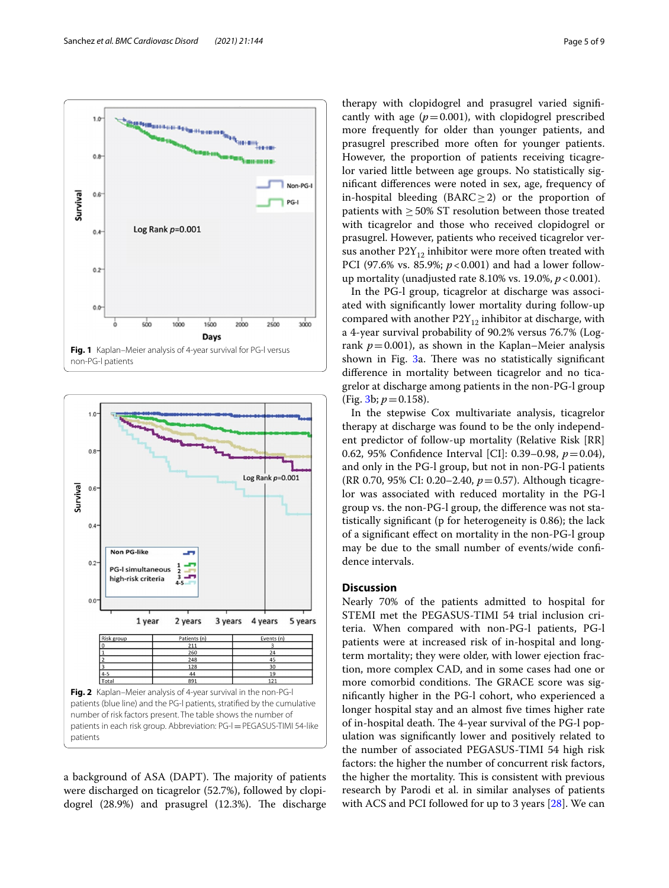

<span id="page-4-0"></span>

<span id="page-4-1"></span>a background of ASA (DAPT). The majority of patients were discharged on ticagrelor (52.7%), followed by clopidogrel  $(28.9%)$  and prasugrel  $(12.3%)$ . The discharge therapy with clopidogrel and prasugrel varied signifcantly with age  $(p=0.001)$ , with clopidogrel prescribed more frequently for older than younger patients, and prasugrel prescribed more often for younger patients. However, the proportion of patients receiving ticagrelor varied little between age groups. No statistically signifcant diferences were noted in sex, age, frequency of in-hospital bleeding (BARC≥2) or the proportion of patients with  $\geq$  50% ST resolution between those treated with ticagrelor and those who received clopidogrel or prasugrel. However, patients who received ticagrelor versus another  $P2Y_{12}$  inhibitor were more often treated with PCI (97.6% vs. 85.9%;  $p < 0.001$ ) and had a lower followup mortality (unadjusted rate 8.10% vs. 19.0%, *p*<0.001).

In the PG-l group, ticagrelor at discharge was associated with signifcantly lower mortality during follow-up compared with another  $P2Y_{12}$  inhibitor at discharge, with a 4-year survival probability of 90.2% versus 76.7% (Logrank  $p=0.001$ ), as shown in the Kaplan–Meier analysis shown in Fig. [3](#page-5-0)a. There was no statistically significant diference in mortality between ticagrelor and no ticagrelor at discharge among patients in the non-PG-l group (Fig.  $3b$ ;  $p = 0.158$ ).

In the stepwise Cox multivariate analysis, ticagrelor therapy at discharge was found to be the only independent predictor of follow-up mortality (Relative Risk [RR] 0.62, 95% Confdence Interval [CI]: 0.39–0.98, *p*=0.04), and only in the PG-l group, but not in non-PG-l patients (RR 0.70, 95% CI: 0.20–2.40, *p*=0.57). Although ticagrelor was associated with reduced mortality in the PG-l group vs. the non-PG-l group, the diference was not statistically signifcant (p for heterogeneity is 0.86); the lack of a signifcant efect on mortality in the non-PG-l group may be due to the small number of events/wide confdence intervals.

# **Discussion**

Nearly 70% of the patients admitted to hospital for STEMI met the PEGASUS-TIMI 54 trial inclusion criteria. When compared with non-PG-l patients, PG-l patients were at increased risk of in-hospital and longterm mortality; they were older, with lower ejection fraction, more complex CAD, and in some cases had one or more comorbid conditions. The GRACE score was signifcantly higher in the PG-l cohort, who experienced a longer hospital stay and an almost fve times higher rate of in-hospital death. The 4-year survival of the PG-l population was signifcantly lower and positively related to the number of associated PEGASUS-TIMI 54 high risk factors: the higher the number of concurrent risk factors, the higher the mortality. This is consistent with previous research by Parodi et al. in similar analyses of patients with ACS and PCI followed for up to 3 years  $[28]$  $[28]$  $[28]$ . We can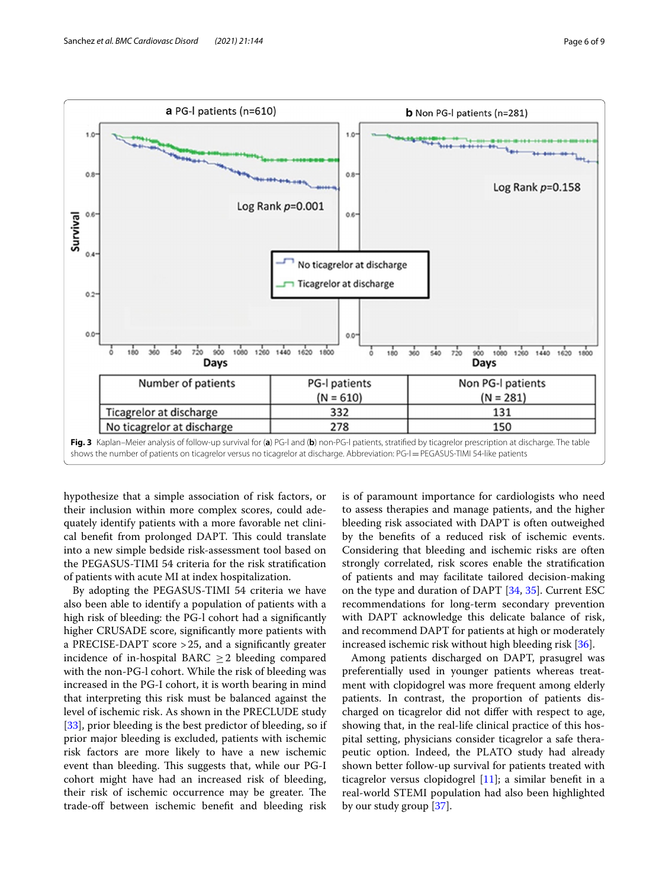

<span id="page-5-0"></span>hypothesize that a simple association of risk factors, or their inclusion within more complex scores, could adequately identify patients with a more favorable net clinical benefit from prolonged DAPT. This could translate into a new simple bedside risk-assessment tool based on the PEGASUS-TIMI 54 criteria for the risk stratifcation of patients with acute MI at index hospitalization.

By adopting the PEGASUS-TIMI 54 criteria we have also been able to identify a population of patients with a high risk of bleeding: the PG-l cohort had a signifcantly higher CRUSADE score, signifcantly more patients with a PRECISE-DAPT score >25, and a signifcantly greater incidence of in-hospital BARC  $\geq$  2 bleeding compared with the non-PG-l cohort. While the risk of bleeding was increased in the PG-I cohort, it is worth bearing in mind that interpreting this risk must be balanced against the level of ischemic risk. As shown in the PRECLUDE study [[33\]](#page-7-28), prior bleeding is the best predictor of bleeding, so if prior major bleeding is excluded, patients with ischemic risk factors are more likely to have a new ischemic event than bleeding. This suggests that, while our PG-I cohort might have had an increased risk of bleeding, their risk of ischemic occurrence may be greater. The trade-of between ischemic beneft and bleeding risk is of paramount importance for cardiologists who need to assess therapies and manage patients, and the higher bleeding risk associated with DAPT is often outweighed by the benefts of a reduced risk of ischemic events. Considering that bleeding and ischemic risks are often strongly correlated, risk scores enable the stratifcation of patients and may facilitate tailored decision-making on the type and duration of DAPT [\[34,](#page-7-29) [35\]](#page-7-30). Current ESC recommendations for long-term secondary prevention with DAPT acknowledge this delicate balance of risk, and recommend DAPT for patients at high or moderately increased ischemic risk without high bleeding risk [[36](#page-7-31)].

Among patients discharged on DAPT, prasugrel was preferentially used in younger patients whereas treatment with clopidogrel was more frequent among elderly patients. In contrast, the proportion of patients discharged on ticagrelor did not difer with respect to age, showing that, in the real-life clinical practice of this hospital setting, physicians consider ticagrelor a safe therapeutic option. Indeed, the PLATO study had already shown better follow-up survival for patients treated with ticagrelor versus clopidogrel [\[11](#page-7-24)]; a similar beneft in a real-world STEMI population had also been highlighted by our study group [\[37](#page-7-32)].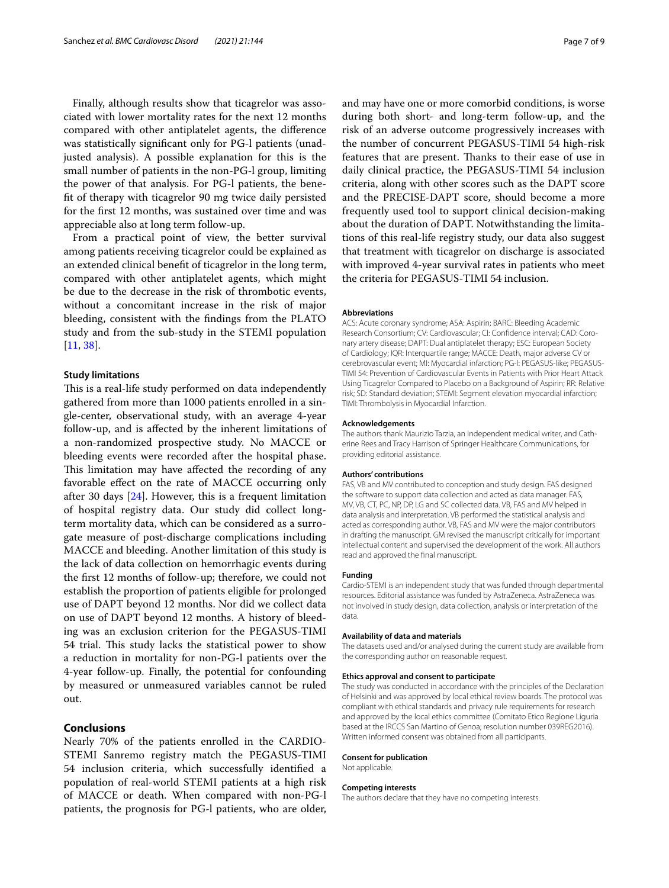Finally, although results show that ticagrelor was associated with lower mortality rates for the next 12 months compared with other antiplatelet agents, the diference was statistically signifcant only for PG-l patients (unadjusted analysis). A possible explanation for this is the small number of patients in the non-PG-l group, limiting the power of that analysis. For PG-l patients, the beneft of therapy with ticagrelor 90 mg twice daily persisted for the frst 12 months, was sustained over time and was appreciable also at long term follow-up.

From a practical point of view, the better survival among patients receiving ticagrelor could be explained as an extended clinical beneft of ticagrelor in the long term, compared with other antiplatelet agents, which might be due to the decrease in the risk of thrombotic events, without a concomitant increase in the risk of major bleeding, consistent with the fndings from the PLATO study and from the sub-study in the STEMI population [[11,](#page-7-24) [38](#page-8-0)].

## **Study limitations**

This is a real-life study performed on data independently gathered from more than 1000 patients enrolled in a single-center, observational study, with an average 4-year follow-up, and is afected by the inherent limitations of a non-randomized prospective study. No MACCE or bleeding events were recorded after the hospital phase. This limitation may have affected the recording of any favorable efect on the rate of MACCE occurring only after 30 days [\[24](#page-7-16)]. However, this is a frequent limitation of hospital registry data. Our study did collect longterm mortality data, which can be considered as a surrogate measure of post-discharge complications including MACCE and bleeding. Another limitation of this study is the lack of data collection on hemorrhagic events during the frst 12 months of follow-up; therefore, we could not establish the proportion of patients eligible for prolonged use of DAPT beyond 12 months. Nor did we collect data on use of DAPT beyond 12 months. A history of bleeding was an exclusion criterion for the PEGASUS-TIMI 54 trial. This study lacks the statistical power to show a reduction in mortality for non-PG-l patients over the 4-year follow-up. Finally, the potential for confounding by measured or unmeasured variables cannot be ruled out.

# **Conclusions**

Nearly 70% of the patients enrolled in the CARDIO-STEMI Sanremo registry match the PEGASUS-TIMI 54 inclusion criteria, which successfully identifed a population of real-world STEMI patients at a high risk of MACCE or death. When compared with non-PG-l patients, the prognosis for PG-l patients, who are older,

and may have one or more comorbid conditions, is worse during both short- and long-term follow-up, and the risk of an adverse outcome progressively increases with the number of concurrent PEGASUS-TIMI 54 high-risk features that are present. Thanks to their ease of use in daily clinical practice, the PEGASUS-TIMI 54 inclusion criteria, along with other scores such as the DAPT score and the PRECISE-DAPT score, should become a more frequently used tool to support clinical decision-making about the duration of DAPT. Notwithstanding the limitations of this real-life registry study, our data also suggest that treatment with ticagrelor on discharge is associated with improved 4-year survival rates in patients who meet the criteria for PEGASUS-TIMI 54 inclusion.

#### **Abbreviations**

ACS: Acute coronary syndrome; ASA: Aspirin; BARC: Bleeding Academic Research Consortium; CV: Cardiovascular; CI: Confdence interval; CAD: Coronary artery disease; DAPT: Dual antiplatelet therapy; ESC: European Society of Cardiology; IQR: Interquartile range; MACCE: Death, major adverse CV or cerebrovascular event; MI: Myocardial infarction; PG-l: PEGASUS-like; PEGASUS-TIMI 54: Prevention of Cardiovascular Events in Patients with Prior Heart Attack Using Ticagrelor Compared to Placebo on a Background of Aspirin; RR: Relative risk; SD: Standard deviation; STEMI: Segment elevation myocardial infarction; TIMI: Thrombolysis in Myocardial Infarction.

#### **Acknowledgements**

The authors thank Maurizio Tarzia, an independent medical writer, and Catherine Rees and Tracy Harrison of Springer Healthcare Communications, for providing editorial assistance.

#### **Authors' contributions**

FAS, VB and MV contributed to conception and study design. FAS designed the software to support data collection and acted as data manager. FAS, MV, VB, CT, PC, NP, DP, LG and SC collected data. VB, FAS and MV helped in data analysis and interpretation. VB performed the statistical analysis and acted as corresponding author. VB, FAS and MV were the major contributors in drafting the manuscript. GM revised the manuscript critically for important intellectual content and supervised the development of the work. All authors read and approved the fnal manuscript.

## **Funding**

Cardio-STEMI is an independent study that was funded through departmental resources. Editorial assistance was funded by AstraZeneca. AstraZeneca was not involved in study design, data collection, analysis or interpretation of the data.

#### **Availability of data and materials**

The datasets used and/or analysed during the current study are available from the corresponding author on reasonable request.

#### **Ethics approval and consent to participate**

The study was conducted in accordance with the principles of the Declaration of Helsinki and was approved by local ethical review boards. The protocol was compliant with ethical standards and privacy rule requirements for research and approved by the local ethics committee (Comitato Etico Regione Liguria based at the IRCCS San Martino of Genoa; resolution number 039REG2016). Written informed consent was obtained from all participants.

#### **Consent for publication**

Not applicable.

#### **Competing interests**

The authors declare that they have no competing interests.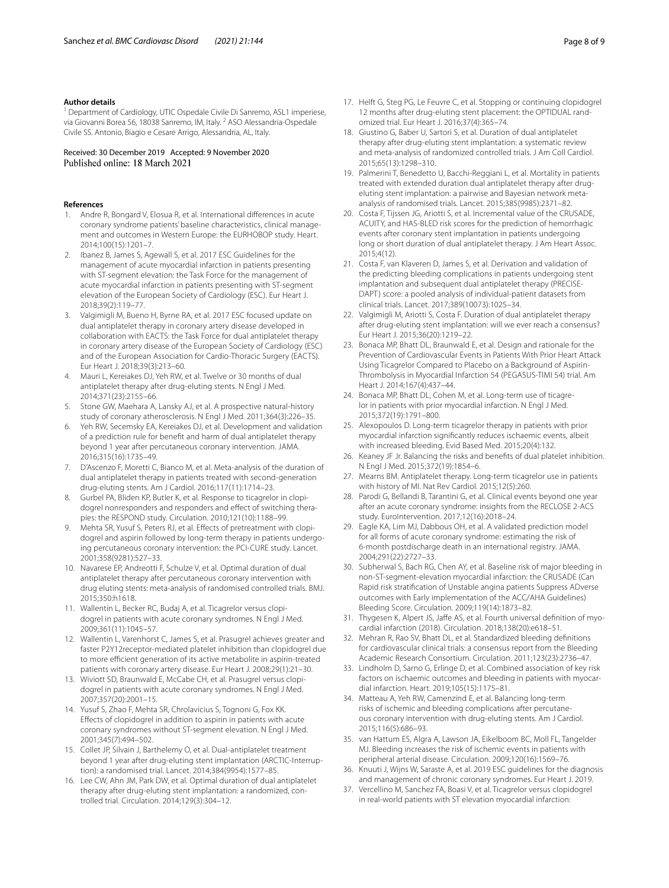#### **Author details**

<sup>1</sup> Department of Cardiology, UTIC Ospedale Civile Di Sanremo, ASL1 imperiese, via Giovanni Borea 56, 18038 Sanremo, IM, Italy. <sup>2</sup> ASO Alessandria-Ospedale Civile SS. Antonio, Biagio e Cesare Arrigo, Alessandria, AL, Italy.

# Received: 30 December 2019 Accepted: 9 November 2020

#### **References**

- <span id="page-7-0"></span>1. Andre R, Bongard V, Elosua R, et al. International diferences in acute coronary syndrome patients' baseline characteristics, clinical management and outcomes in Western Europe: the EURHOBOP study. Heart. 2014;100(15):1201–7.
- <span id="page-7-1"></span>2. Ibanez B, James S, Agewall S, et al. 2017 ESC Guidelines for the management of acute myocardial infarction in patients presenting with ST-segment elevation: the Task Force for the management of acute myocardial infarction in patients presenting with ST-segment elevation of the European Society of Cardiology (ESC). Eur Heart J. 2018;39(2):119–77.
- <span id="page-7-2"></span>3. Valgimigli M, Bueno H, Byrne RA, et al. 2017 ESC focused update on dual antiplatelet therapy in coronary artery disease developed in collaboration with EACTS: the Task Force for dual antiplatelet therapy in coronary artery disease of the European Society of Cardiology (ESC) and of the European Association for Cardio-Thoracic Surgery (EACTS). Eur Heart J. 2018;39(3):213–60.
- <span id="page-7-3"></span>4. Mauri L, Kereiakes DJ, Yeh RW, et al. Twelve or 30 months of dual antiplatelet therapy after drug-eluting stents. N Engl J Med. 2014;371(23):2155–66.
- <span id="page-7-4"></span>5. Stone GW, Maehara A, Lansky AJ, et al. A prospective natural-history study of coronary atherosclerosis. N Engl J Med. 2011;364(3):226–35.
- <span id="page-7-5"></span>6. Yeh RW, Secemsky EA, Kereiakes DJ, et al. Development and validation of a prediction rule for beneft and harm of dual antiplatelet therapy beyond 1 year after percutaneous coronary intervention. JAMA. 2016;315(16):1735–49.
- <span id="page-7-6"></span>7. D'Ascenzo F, Moretti C, Bianco M, et al. Meta-analysis of the duration of dual antiplatelet therapy in patients treated with second-generation drug-eluting stents. Am J Cardiol. 2016;117(11):1714–23.
- 8. Gurbel PA, Bliden KP, Butler K, et al. Response to ticagrelor in clopidogrel nonresponders and responders and efect of switching therapies: the RESPOND study. Circulation. 2010;121(10):1188–99.
- <span id="page-7-27"></span>Mehta SR, Yusuf S, Peters RJ, et al. Effects of pretreatment with clopidogrel and aspirin followed by long-term therapy in patients undergoing percutaneous coronary intervention: the PCI-CURE study. Lancet. 2001;358(9281):527–33.
- 10. Navarese EP, Andreotti F, Schulze V, et al. Optimal duration of dual antiplatelet therapy after percutaneous coronary intervention with drug eluting stents: meta-analysis of randomised controlled trials. BMJ. 2015;350:h1618.
- <span id="page-7-24"></span>11. Wallentin L, Becker RC, Budaj A, et al. Ticagrelor versus clopidogrel in patients with acute coronary syndromes. N Engl J Med. 2009;361(11):1045–57.
- 12. Wallentin L, Varenhorst C, James S, et al. Prasugrel achieves greater and faster P2Y12receptor-mediated platelet inhibition than clopidogrel due to more efficient generation of its active metabolite in aspirin-treated patients with coronary artery disease. Eur Heart J. 2008;29(1):21–30.
- 13. Wiviott SD, Braunwald E, McCabe CH, et al. Prasugrel versus clopidogrel in patients with acute coronary syndromes. N Engl J Med. 2007;357(20):2001–15.
- <span id="page-7-7"></span>14. Yusuf S, Zhao F, Mehta SR, Chrolavicius S, Tognoni G, Fox KK. Efects of clopidogrel in addition to aspirin in patients with acute coronary syndromes without ST-segment elevation. N Engl J Med. 2001;345(7):494–502.
- <span id="page-7-8"></span>15. Collet JP, Silvain J, Barthelemy O, et al. Dual-antiplatelet treatment beyond 1 year after drug-eluting stent implantation (ARCTIC-Interruption): a randomised trial. Lancet. 2014;384(9954):1577–85.
- <span id="page-7-9"></span>16. Lee CW, Ahn JM, Park DW, et al. Optimal duration of dual antiplatelet therapy after drug-eluting stent implantation: a randomized, controlled trial. Circulation. 2014;129(3):304–12.
- <span id="page-7-10"></span>17. Helft G, Steg PG, Le Feuvre C, et al. Stopping or continuing clopidogrel 12 months after drug-eluting stent placement: the OPTIDUAL randomized trial. Eur Heart J. 2016;37(4):365–74.
- <span id="page-7-11"></span>18. Giustino G, Baber U, Sartori S, et al. Duration of dual antiplatelet therapy after drug-eluting stent implantation: a systematic review and meta-analysis of randomized controlled trials. J Am Coll Cardiol. 2015;65(13):1298–310.
- <span id="page-7-12"></span>19. Palmerini T, Benedetto U, Bacchi-Reggiani L, et al. Mortality in patients treated with extended duration dual antiplatelet therapy after drugeluting stent implantation: a pairwise and Bayesian network metaanalysis of randomised trials. Lancet. 2015;385(9985):2371–82.
- <span id="page-7-13"></span>20. Costa F, Tijssen JG, Ariotti S, et al. Incremental value of the CRUSADE, ACUITY, and HAS-BLED risk scores for the prediction of hemorrhagic events after coronary stent implantation in patients undergoing long or short duration of dual antiplatelet therapy. J Am Heart Assoc. 2015;4(12).
- <span id="page-7-22"></span>21. Costa F, van Klaveren D, James S, et al. Derivation and validation of the predicting bleeding complications in patients undergoing stent implantation and subsequent dual antiplatelet therapy (PRECISE-DAPT) score: a pooled analysis of individual-patient datasets from clinical trials. Lancet. 2017;389(10073):1025–34.
- <span id="page-7-14"></span>22. Valgimigli M, Ariotti S, Costa F. Duration of dual antiplatelet therapy after drug-eluting stent implantation: will we ever reach a consensus? Eur Heart J. 2015;36(20):1219–22.
- <span id="page-7-15"></span>23. Bonaca MP, Bhatt DL, Braunwald E, et al. Design and rationale for the Prevention of Cardiovascular Events in Patients With Prior Heart Attack Using Ticagrelor Compared to Placebo on a Background of Aspirin-Thrombolysis in Myocardial Infarction 54 (PEGASUS-TIMI 54) trial. Am Heart J. 2014;167(4):437–44.
- <span id="page-7-16"></span>24. Bonaca MP, Bhatt DL, Cohen M, et al. Long-term use of ticagrelor in patients with prior myocardial infarction. N Engl J Med. 2015;372(19):1791–800.
- <span id="page-7-17"></span>25. Alexopoulos D. Long-term ticagrelor therapy in patients with prior myocardial infarction signifcantly reduces ischaemic events, albeit with increased bleeding. Evid Based Med. 2015;20(4):132.
- <span id="page-7-18"></span>26. Keaney JF Jr. Balancing the risks and benefts of dual platelet inhibition. N Engl J Med. 2015;372(19):1854–6.
- <span id="page-7-19"></span>27. Mearns BM. Antiplatelet therapy. Long-term ticagrelor use in patients with history of MI. Nat Rev Cardiol. 2015;12(5):260.
- <span id="page-7-20"></span>28. Parodi G, Bellandi B, Tarantini G, et al. Clinical events beyond one year after an acute coronary syndrome: insights from the RECLOSE 2-ACS study. EuroIntervention. 2017;12(16):2018–24.
- <span id="page-7-21"></span>29. Eagle KA, Lim MJ, Dabbous OH, et al. A validated prediction model for all forms of acute coronary syndrome: estimating the risk of 6-month postdischarge death in an international registry. JAMA. 2004;291(22):2727–33.
- <span id="page-7-23"></span>30. Subherwal S, Bach RG, Chen AY, et al. Baseline risk of major bleeding in non-ST-segment-elevation myocardial infarction: the CRUSADE (Can Rapid risk stratifcation of Unstable angina patients Suppress ADverse outcomes with Early implementation of the ACC/AHA Guidelines) Bleeding Score. Circulation. 2009;119(14):1873–82.
- <span id="page-7-25"></span>31. Thygesen K, Alpert JS, Jafe AS, et al. Fourth universal defnition of myocardial infarction (2018). Circulation. 2018;138(20):e618–51.
- <span id="page-7-26"></span>32. Mehran R, Rao SV, Bhatt DL, et al. Standardized bleeding defnitions for cardiovascular clinical trials: a consensus report from the Bleeding Academic Research Consortium. Circulation. 2011;123(23):2736–47.
- <span id="page-7-28"></span>33. Lindholm D, Sarno G, Erlinge D, et al. Combined association of key risk factors on ischaemic outcomes and bleeding in patients with myocardial infarction. Heart. 2019;105(15):1175–81.
- <span id="page-7-29"></span>34. Matteau A, Yeh RW, Camenzind E, et al. Balancing long-term risks of ischemic and bleeding complications after percutaneous coronary intervention with drug-eluting stents. Am J Cardiol. 2015;116(5):686–93.
- <span id="page-7-30"></span>35. van Hattum ES, Algra A, Lawson JA, Eikelboom BC, Moll FL, Tangelder MJ. Bleeding increases the risk of ischemic events in patients with peripheral arterial disease. Circulation. 2009;120(16):1569–76.
- <span id="page-7-31"></span>36. Knuuti J, Wijns W, Saraste A, et al. 2019 ESC guidelines for the diagnosis and management of chronic coronary syndromes. Eur Heart J. 2019.
- <span id="page-7-32"></span>37. Vercellino M, Sanchez FA, Boasi V, et al. Ticagrelor versus clopidogrel in real-world patients with ST elevation myocardial infarction: